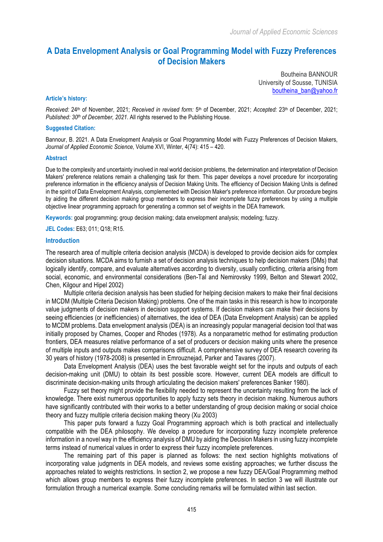# **A Data Envelopment Analysis or Goal Programming Model with Fuzzy Preferences of Decision Makers**

Boutheina BANNOUR University of Sousse, TUNISIA boutheina\_ban@yahoo.fr

#### **Article's history:**

*Received:* 24th of November, 2021; *Received in revised form:* 5th of December, 2021; *Accepted:* 23th of December, 2021; *Published: 30th of December, 2021*. All rights reserved to the Publishing House.

#### **Suggested Citation:**

Bannour, B. 2021. A Data Envelopment Analysis or Goal Programming Model with Fuzzy Preferences of Decision Makers, *Journal of Applied Economic Science,* Volume XVI, Winter, 4(74): 415 – 420.

#### **Abstract**

Due to the complexity and uncertainty involved in real world decision problems, the determination and interpretation of Decision Makers' preference relations remain a challenging task for them. This paper develops a novel procedure for incorporating preference information in the efficiency analysis of Decision Making Units. The efficiency of Decision Making Units is defined in the spirit of Data Envelopment Analysis, complemented with Decision Maker's preference information. Our procedure begins by aiding the different decision making group members to express their incomplete fuzzy preferences by using a multiple objective linear programming approach for generating a common set of weights in the DEA framework.

**Keywords:** goal programming; group decision making; data envelopment analysis; modeling; fuzzy.

**JEL Codes:** E63; 011; Q18; R15.

#### **Introduction**

The research area of multiple criteria decision analysis (MCDA) is developed to provide decision aids for complex decision situations. MCDA aims to furnish a set of decision analysis techniques to help decision makers (DMs) that logically identify, compare, and evaluate alternatives according to diversity, usually conflicting, criteria arising from social, economic, and environmental considerations (Ben-Tal and Nemirovsky 1999, Belton and Stewart 2002, Chen, Kilgour and Hipel 2002)

Multiple criteria decision analysis has been studied for helping decision makers to make their final decisions in MCDM (Multiple Criteria Decision Making) problems. One of the main tasks in this research is how to incorporate value judgments of decision makers in decision support systems. If decision makers can make their decisions by seeing efficiencies (or inefficiencies) of alternatives, the idea of DEA (Data Envelopment Analysis) can be applied to MCDM problems. Data envelopment analysis (DEA) is an increasingly popular managerial decision tool that was initially proposed by Charnes, Cooper and Rhodes (1978). As a nonparametric method for estimating production frontiers, DEA measures relative performance of a set of producers or decision making units where the presence of multiple inputs and outputs makes comparisons difficult. A comprehensive survey of DEA research covering its 30 years of history (1978-2008) is presented in Emrouznejad, Parker and Tavares (2007).

Data Envelopment Analysis (DEA) uses the best favorable weight set for the inputs and outputs of each decision-making unit (DMU) to obtain its best possible score. However, current DEA models are difficult to discriminate decision-making units through articulating the decision makers' preferences Banker 1980).

Fuzzy set theory might provide the flexibility needed to represent the uncertainty resulting from the lack of knowledge. There exist numerous opportunities to apply fuzzy sets theory in decision making. Numerous authors have significantly contributed with their works to a better understanding of group decision making or social choice theory and fuzzy multiple criteria decision making theory (Xu 2003)

This paper puts forward a fuzzy Goal Programming approach which is both practical and intellectually compatible with the DEA philosophy. We develop a procedure for incorporating fuzzy incomplete preference information in a novel way in the efficiency analysis of DMU by aiding the Decision Makers in using fuzzy incomplete terms instead of numerical values in order to express their fuzzy incomplete preferences.

The remaining part of this paper is planned as follows: the next section highlights motivations of incorporating value judgments in DEA models, and reviews some existing approaches; we further discuss the approaches related to weights restrictions. In section 2, we propose a new fuzzy DEA/Goal Programming method which allows group members to express their fuzzy incomplete preferences. In section 3 we will illustrate our formulation through a numerical example. Some concluding remarks will be formulated within last section.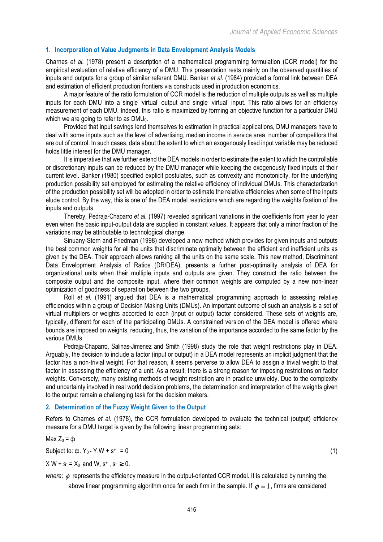### **1. Incorporation of Value Judgments in Data Envelopment Analysis Models**

Charnes *et al.* (1978) present a description of a mathematical programming formulation (CCR model) for the empirical evaluation of relative efficiency of a DMU. This presentation rests mainly on the observed quantities of inputs and outputs for a group of similar referent DMU. Banker *et al.* (1984) provided a formal link between DEA and estimation of efficient production frontiers via constructs used in production economics.

A major feature of the ratio formulation of CCR model is the reduction of multiple outputs as well as multiple inputs for each DMU into a single 'virtual' output and single 'virtual' input. This ratio allows for an efficiency measurement of each DMU. Indeed, this ratio is maximized by forming an objective function for a particular DMU which we are going to refer to as  $DMU_0$ .

Provided that input savings lend themselves to estimation in practical applications, DMU managers have to deal with some inputs such as the level of advertising, median income in service area, number of competitors that are out of control. In such cases, data about the extent to which an exogenously fixed input variable may be reduced holds little interest for the DMU manager.

It is imperative that we further extend the DEA models in order to estimate the extent to which the controllable or discretionary inputs can be reduced by the DMU manager while keeping the exogenously fixed inputs at their current level. Banker (1980) specified explicit postulates, such as convexity and monotonicity, for the underlying production possibility set employed for estimating the relative efficiency of individual DMUs. This characterization of the production possibility set will be adopted in order to estimate the relative efficiencies when some of the inputs elude control. By the way, this is one of the DEA model restrictions which are regarding the weights fixation of the inputs and outputs.

Thereby, Pedraja-Chaparro *et al.* (1997) revealed significant variations in the coefficients from year to year even when the basic input-output data are supplied in constant values. It appears that only a minor fraction of the variations may be attributable to technological change.

Sinuany-Stern and Friedman (1998) developed a new method which provides for given inputs and outputs the best common weights for all the units that discriminate optimally between the efficient and inefficient units as given by the DEA. Their approach allows ranking all the units on the same scale. This new method, Discriminant Data Envelopment Analysis of Ratios (DR/DEA), presents a further post-optimality analysis of DEA for organizational units when their multiple inputs and outputs are given. They construct the ratio between the composite output and the composite input, where their common weights are computed by a new non-linear optimization of goodness of separation between the two groups.

Roll *et al.* (1991) argued that DEA is a mathematical programming approach to assessing relative efficiencies within a group of Decision Making Units (DMUs). An important outcome of such an analysis is a set of virtual multipliers or weights accorded to each (input or output) factor considered. These sets of weights are, typically, different for each of the participating DMUs. A constrained version of the DEA model is offered where bounds are imposed on weights, reducing, thus, the variation of the importance accorded to the same factor by the various DMUs.

Pedraja-Chaparro, Salinas-Jimenez and Smith (1998) study the role that weight restrictions play in DEA. Arguably, the decision to include a factor (input or output) in a DEA model represents an implicit judgment that the factor has a non-trivial weight. For that reason, it seems perverse to allow DEA to assign a trivial weight to that factor in assessing the efficiency of a unit. As a result, there is a strong reason for imposing restrictions on factor weights. Conversely, many existing methods of weight restriction are in practice unwieldy. Due to the complexity and uncertainty involved in real world decision problems, the determination and interpretation of the weights given to the output remain a challenging task for the decision makers.

### **2. Determination of the Fuzzy Weight Given to the Output**

Refers to Charnes *et al.* (1978), the CCR formulation developed to evaluate the technical (output) efficiency measure for a DMU target is given by the following linear programming sets:

## Max  $Z_0 = \phi$

Subject to:  $\phi$ .  $Y_0 - Y.W + s^+ = 0$  (1)

$$
X W + s = X_0
$$
 and W,  $s^*$ ,  $s^* \ge 0$ .

*where: φ* represents the efficiency measure in the output-oriented CCR model. It is calculated by running the above linear programming algorithm once for each firm in the sample. If  $\phi = 1$ , firms are considered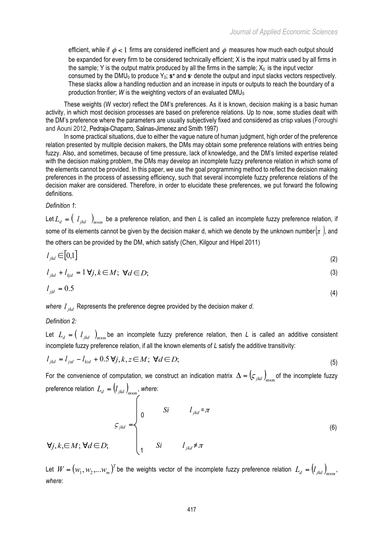efficient, while if  $\phi$  < 1 firms are considered inefficient and  $\phi$  measures how much each output should be expanded for every firm to be considered technically efficient; X is the input matrix used by all firms in the sample; Y is the output matrix produced by all the firms in the sample;  $X_0$  is the input vector consumed by the DMU<sub>0</sub> to produce Y<sub>0</sub>; **s**<sup>+</sup> and **s**<sup>-</sup> denote the output and input slacks vectors respectively. These slacks allow a handling reduction and an increase in inputs or outputs to reach the boundary of a production frontier; *W* is the weighting vectors of an evaluated  $DMU<sub>0</sub>$ .

These weights (W vector) reflect the DM's preferences. As it is known, decision making is a basic human activity, in which most decision processes are based on preference relations. Up to now, some studies dealt with the DM's preference where the parameters are usually subjectively fixed and considered as crisp values (Foroughi and Aouni 2012, Pedraja-Chaparro, Salinas-Jimenez and Smith 1997)

In some practical situations, due to either the vague nature of human judgment, high order of the preference relation presented by multiple decision makers, the DMs may obtain some preference relations with entries being fuzzy. Also, and sometimes, because of time pressure, lack of knowledge, and the DM's limited expertise related with the decision making problem, the DMs may develop an incomplete fuzzy preference relation in which some of the elements cannot be provided. In this paper, we use the goal programming method to reflect the decision making preferences in the process of assessing efficiency, such that several incomplete fuzzy preference relations of the decision maker are considered. Therefore, in order to elucidate these preferences, we put forward the following definitions.

## *Definition 1*:

Let  $L_d = (l_{jkd})_{m \times m}$  be a preference relation, and then *L* is called an incomplete fuzzy preference relation, if some of its elements cannot be given by the decision maker d, which we denote by the unknown number $(\pi)$ , and the others can be provided by the DM, which satisfy (Chen, Kilgour and Hipel 2011)

$$
l_{jkd} \in [0,1]
$$
\n
$$
l_{jkd} = 1 \forall i, k \in M: \forall d \subset D: \tag{3}
$$

$$
l_{jkd} + l_{kjd} = 1 \,\forall j, k \in M; \,\forall d \in D; \tag{3}
$$

$$
l_{jjd} = 0.5 \tag{4}
$$

*where*  $l_{ikd}$  Represents the preference degree provided by the decision maker  $d$ .

# *Definition 2:*

Let  $L_d = (l_{ikd})_{m \times m}$  be an incomplete fuzzy preference relation, then *L* is called an additive consistent incomplete fuzzy preference relation, if all the known elements of *L* satisfy the additive transitivity:

$$
l_{jkd} = l_{jzd} - l_{kd} + 0.5 \,\forall j, k, z \in M; \,\forall d \in D; \tag{5}
$$

For the convenience of computation, we construct an indication matrix  $\Delta = (\zeta_{jkd})_{m\times m}$  of the incomplete fuzzy preference relation  $L_d = (l_{jkd})_{m \times m}$ , where:

$$
\forall j, k, \in M; \forall d \in D; \qquad \begin{cases} \n0 & Si & l_{jkd} = \pi \\ \n0 & Si & l_{jkd} \neq \pi \n\end{cases} \tag{6}
$$

Let  $W = (w_1, w_2,...w_m)^T$  be the weights vector of the incomplete fuzzy preference relation  $L_d = (l_{jkd})_{m \times m}$ , *where*: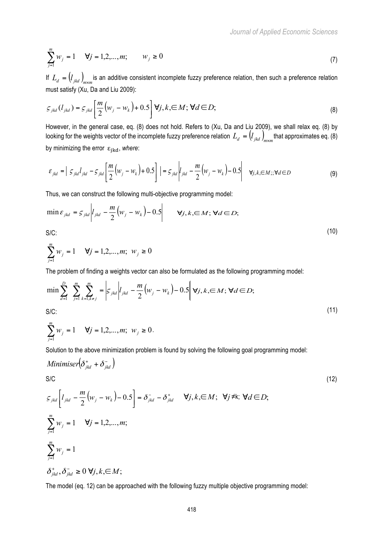$$
\sum_{j=1}^{m} w_j = 1 \quad \forall j = 1, 2, ..., m; \qquad w_j \ge 0
$$
\n(7)

If  $L_d = (l_{jkd})_{m \times m}$  is an additive consistent incomplete fuzzy preference relation, then such a preference relation must satisfy (Xu, Da and Liu 2009):

$$
\varsigma_{jkd}(l_{jkd}) = \varsigma_{jkd} \left[ \frac{m}{2} \left( w_j - w_k \right) + 0.5 \right] \forall j, k, \in M; \forall d \in D; \tag{8}
$$

However, in the general case, eq. (8) does not hold. Refers to (Xu, Da and Liu 2009), we shall relax eq. (8) by looking for the weights vector of the incomplete fuzzy preference relation  $L_d = (l_{jkd})_{m \times m}$  that approximates eq. (8) by minimizing the error  $\varepsilon_{ikd}$ , where:

$$
\varepsilon_{jkd} = \left| \zeta_{jkd} l_{jkd} - \zeta_{jkd} \left[ \frac{m}{2} \left( w_j - w_k \right) + 0.5 \right] \right| = \varepsilon_{jkd} \left| l_{jkd} - \frac{m}{2} \left( w_j - w_k \right) - 0.5 \right| \quad \forall j, k, \in M; \forall d \in D
$$
\n(9)

Thus, we can construct the following multi-objective programming model:

$$
\min \varepsilon_{jkd} = \varepsilon_{jkd} \left| l_{jkd} - \frac{m}{2} \left( w_j - w_k \right) - 0.5 \right| \qquad \forall j, k, \in M; \forall d \in D;
$$
\n
$$
\text{S/C:} \tag{10}
$$

$$
\sum_{j=1}^{m} w_j = 1 \quad \forall j = 1, 2, ..., m; \ w_j \ge 0
$$

The problem of finding a weights vector can also be formulated as the following programming model:

$$
\min \sum_{d=1}^{D} \sum_{j=1}^{m} \sum_{k=1, k \neq j}^{m} = \left| \mathcal{S}_{jkd} \right| l_{jkd} - \frac{m}{2} \left( w_j - w_k \right) - 0.5 \left\| \mathbf{v}_j, k, \in M; \mathbf{V}d \in D; \right\}
$$
\n
$$
\text{S/C:} \tag{11}
$$

$$
\sum_{j=1}^{m} w_j = 1 \quad \forall j = 1, 2, ..., m; \ w_j \ge 0.
$$

Solution to the above minimization problem is found by solving the following goal programming model:

Minimiser
$$
\left(\delta_{jkd}^+ + \delta_{jkd}^-\right)
$$
  
\nS/C  
\n
$$
S_{jkd}\left[l_{jkd} - \frac{m}{2}\left(w_j - w_k\right) - 0.5\right] = \delta_{jkd}^- - \delta_{jkd}^+ \quad \forall j, k, \in M; \ \forall j \neq k; \ \forall d \in D;
$$
\n(12)

$$
\begin{aligned}\n&\frac{S_{jkd}}{k} \left[ \frac{\mu_{jkd} - \frac{1}{2} (w_j - w_k) - 0.5}{2} \right] = o_{jkd} - o_{jkd} && \text{v}, k, \in M, \text{ v}, \text{v}, \text{v}, \text{v} \in D, \\
&\sum_{j=1}^{m} w_j = 1 && \text{v}, \text{v} \in D, \\
&\sum_{j=1}^{m} w_j = 1 &&\sum_{j \text{nd}} w_j = 1 \\
&\delta_{jkd}^+, \delta_{jkd}^- \ge 0 \text{ V}, k, \in M;\n\end{aligned}
$$

The model (eq. 12) can be approached with the following fuzzy multiple objective programming model: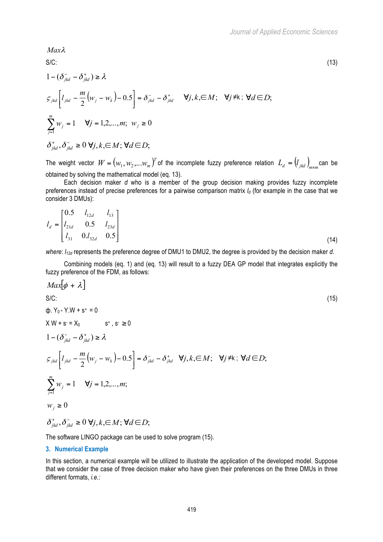$S/C:$  (13)  $1 - (\delta_{ikd}^- - \delta_{ikd}^+) \ge \lambda$  $\left[l_{jkd} - \frac{m}{2}(w_j - w_k) - 0.5\right] = \delta_{jkd} - \delta_{jl}$  $\mathcal{L}_{jkd}\left[l_{jkd} - \frac{m}{2}\left(w_j - w_k\right) - 0.5\right] = \delta_{jkd}^- - \delta_{jkd}^+ \quad \forall j, k, \in M; \quad \forall j \neq k; \forall d \in D;$ 1  $\sum_{j=1} w_j =$ *m*  $\sum_{j=1}^{j} w_j = 1 \quad \forall j = 1, 2, ..., m; \ w_j \ge 0$  $\delta_{ikd}^+$ ,  $\delta_{ikd}^-$  ≥ 0  $\forall j, k, \in M$ ;  $\forall d \in D$ ;

The weight vector  $W = (w_1, w_2, ... w_m)^T$  of the incomplete fuzzy preference relation  $L_d = (l_{jkd})_{m \times m}$ can be obtained by solving the mathematical model (eq. 13).

Each decision maker *d* who is a member of the group decision making provides fuzzy incomplete preferences instead of precise preferences for a pairwise comparison matrix  $I_d$  (for example in the case that we consider 3 DMUs):

$$
l_d = \begin{bmatrix} 0.5 & l_{12d} & l_{13} \\ l_{21d} & 0.5 & l_{23d} \\ l_{31} & 0.1_{32d} & 0.5 \end{bmatrix}
$$
 (14)

*where:*  $I_{12d}$  represents the preference degree of DMU1 to DMU2, the degree is provided by the decision maker *d*.

Combining models (eq. 1) and (eq. 13) will result to a fuzzy DEA GP model that integrates explicitly the fuzzy preference of the FDM, as follows:

$$
Max[\phi + \lambda]
$$
  
\nS/C:  
\n
$$
\phi. Y_0 - Y.W + s^* = 0
$$
  
\n
$$
X W + s = X_0 \qquad s^*, s \ge 0
$$
  
\n
$$
1 - (\delta_{jkl}^{\dagger} - \delta_{jkl}^{\dagger}) \ge \lambda
$$
  
\n
$$
S_{jkd} \left[ l_{jkd} - \frac{m}{2} (w_j - w_k) - 0.5 \right] = \delta_{jkd}^{-} - \delta_{jkd}^{+} \quad \forall j, k, \in M; \quad \forall j \ne k; \forall d \in D;
$$
  
\n
$$
\sum_{j=1}^{m} w_j = 1 \quad \forall j = 1, 2, ..., m;
$$
  
\n
$$
w_j \ge 0
$$
  
\n
$$
\delta_{jkd}^{+}, \delta_{jkd}^{-} \ge 0 \quad \forall j, k, \in M; \forall d \in D;
$$
\n(15)

The software LINGO package can be used to solve program (15).

#### **3. Numerical Example**

*Max*<sup>λ</sup>

In this section, a numerical example will be utilized to illustrate the application of the developed model. Suppose that we consider the case of three decision maker who have given their preferences on the three DMUs in three different formats, *i.e.:*